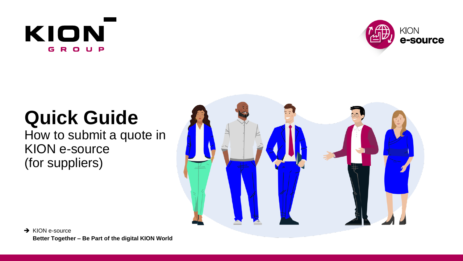# KION GROUP



# **Quick Guide**

How to submit a quote in KION e-source (for suppliers)

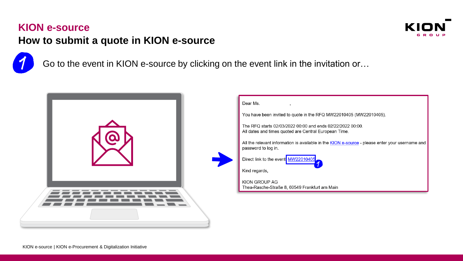# **KION e-source**



# **How to submit a quote in KION e-source**



Go to the event in KION e-source by clicking on the event link in the invitation or…

| Dear Ms.<br>You have been invited to quote in the RFQ MW22010405 (MW22010405).<br>The RFQ starts 02/03/2022 00:00 and ends 02/22/2022 00:00.<br>All dates and times quoted are Central European Time.<br>All the relevant information is available in the KION e-source - please enter your username and<br>password to log in.<br>Direct link to the event MW22010405<br>Kind regards,<br>KION GROUP AG<br>Thea-Rasche-Straße 8, 60549 Frankfurt am Main |
|-----------------------------------------------------------------------------------------------------------------------------------------------------------------------------------------------------------------------------------------------------------------------------------------------------------------------------------------------------------------------------------------------------------------------------------------------------------|
|                                                                                                                                                                                                                                                                                                                                                                                                                                                           |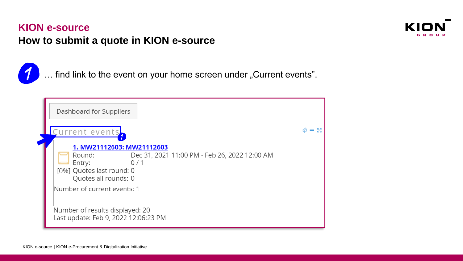

... find link to the event on your home screen under "Current events".

| Dashboard for Suppliers                                                                                                                                                                   |  |
|-------------------------------------------------------------------------------------------------------------------------------------------------------------------------------------------|--|
| Current events <mark>,</mark>                                                                                                                                                             |  |
| 1. MW21112603: MW21112603<br>Dec 31, 2021 11:00 PM - Feb 26, 2022 12:00 AM<br>Round:<br>Entry:<br>0/1<br>[0%] Quotes last round: 0<br>Quotes all rounds: 0<br>Number of current events: 1 |  |
| Number of results displayed: 20<br>Last update: Feb 9, 2022 12:06:23 PM                                                                                                                   |  |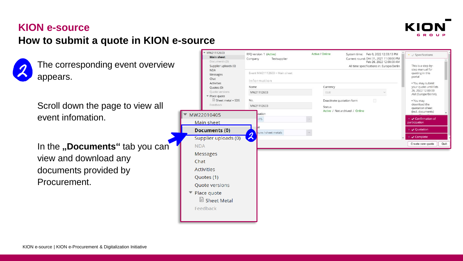



The corresponding event overview appears.

Scroll down the page to view all event infomation.

In the **"Documents**" tab you can<sup>"</sup> view and download any documents provided by Procurement.

| <b>IVIVYZ I I LZOUS</b><br><b>Main sheet</b><br>Documents (0)<br>Supplier uploads (0) | RFQ version 1 (Active)<br>Company<br>Testsupplier | <b>Active / Online</b> |                                | System time: Feb 9, 2022 12:33:13 PM<br>Current round: Dec 31, 2021 11:00:00 PM<br>Feb 26, 2022 12:00:00 AM<br>All time specifications in: Europe/Berlin | • Specifications<br>This is a step-by-<br>step manual for |
|---------------------------------------------------------------------------------------|---------------------------------------------------|------------------------|--------------------------------|----------------------------------------------------------------------------------------------------------------------------------------------------------|-----------------------------------------------------------|
| <b>NDA</b><br>Messages<br>Chat                                                        | Event MW21112603 > Main sheet<br>Information      |                        |                                |                                                                                                                                                          | quoting in this<br>portal                                 |
| Activities<br>Quotes (0)                                                              | Name                                              | Currency               |                                |                                                                                                                                                          | . You may submit<br>your quote until Feb                  |
| Quote versions<br>* Place quote                                                       | MW21112603                                        | EUR                    |                                |                                                                                                                                                          | 26, 2022 12:00:00<br>AM (Europe/Berlin).                  |
| Sheet metal + SDS<br>Feedback                                                         | No.<br>MW21112603                                 | <b>Status</b>          | Deactivate quotation form      | 圖                                                                                                                                                        | . You may<br>download the<br>quotation sheet              |
| MW22010405                                                                            | zation                                            |                        | Active / Not archived / Online |                                                                                                                                                          | (incl. documents)                                         |
|                                                                                       | ITS.                                              | 111                    |                                |                                                                                                                                                          | Confirmation of<br>participation                          |
| Main sheet                                                                            |                                                   |                        |                                |                                                                                                                                                          | ▶ √ Quotation                                             |
| <b>Documents (0)</b>                                                                  | ture / sheet metals<br>$\overline{\mathcal{X}}$   | $\cdots$               |                                |                                                                                                                                                          | Complete                                                  |
| Supplier uploads (0)                                                                  |                                                   |                        |                                |                                                                                                                                                          |                                                           |
| <b>NDA</b>                                                                            |                                                   |                        |                                |                                                                                                                                                          | Quit<br>Create new quote                                  |
| <b>Messages</b>                                                                       |                                                   |                        |                                |                                                                                                                                                          |                                                           |
| Chat                                                                                  |                                                   |                        |                                |                                                                                                                                                          |                                                           |
| <b>Activities</b>                                                                     |                                                   |                        |                                |                                                                                                                                                          |                                                           |
| Quotes (1)                                                                            |                                                   |                        |                                |                                                                                                                                                          |                                                           |
| Quote versions                                                                        |                                                   |                        |                                |                                                                                                                                                          |                                                           |
| Place quote                                                                           |                                                   |                        |                                |                                                                                                                                                          |                                                           |
| Sheet Metal                                                                           |                                                   |                        |                                |                                                                                                                                                          |                                                           |
| Feedback                                                                              |                                                   |                        |                                |                                                                                                                                                          |                                                           |
|                                                                                       |                                                   |                        |                                |                                                                                                                                                          |                                                           |
|                                                                                       |                                                   |                        |                                |                                                                                                                                                          |                                                           |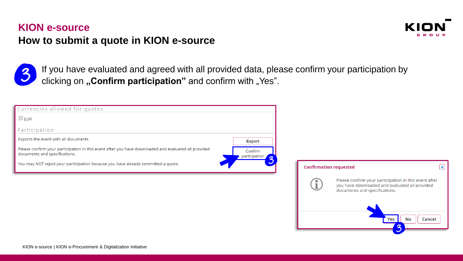



If you have evaluated and agreed with all provided data, please confirm your participation by clicking on "Confirm participation" and confirm with "Yes".

| Currencies allowed for quotes                                                                                                         |                          |                               |                                                                                                                                                                        |                           |
|---------------------------------------------------------------------------------------------------------------------------------------|--------------------------|-------------------------------|------------------------------------------------------------------------------------------------------------------------------------------------------------------------|---------------------------|
| $\sqrt{}$ EUR                                                                                                                         |                          |                               |                                                                                                                                                                        |                           |
| Participation                                                                                                                         |                          |                               |                                                                                                                                                                        |                           |
| Exports the event with all documents                                                                                                  | Export                   |                               |                                                                                                                                                                        |                           |
| Please confirm your participation in this event after you have downloaded and evaluated all provided<br>documents and specifications. | Confirm<br>participation |                               |                                                                                                                                                                        |                           |
| You may NOT reject your participation because you have already committed a quote.                                                     |                          | <b>Confirmation requested</b> |                                                                                                                                                                        | $\boldsymbol{\mathsf{x}}$ |
|                                                                                                                                       |                          | $\mathbb T$ .                 | Please confirm your participation in this event after<br>you have downloaded and evaluated all provided<br>documents and specifications.<br><b>No</b><br>Yes<br>Cancel |                           |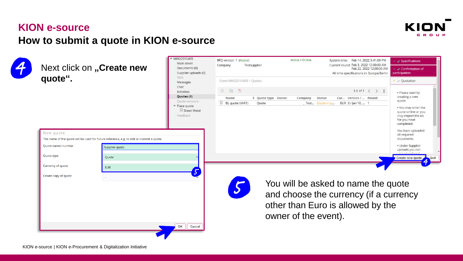

**4W22010405** 

OK

Cancel



Next click on **"Create new quote".**



Active / Online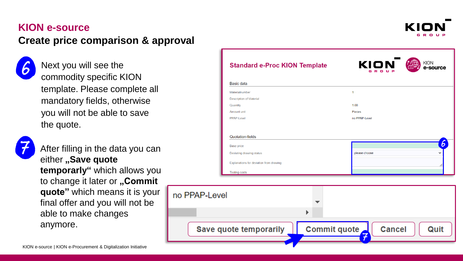#### **KION e-source**

# **Create price comparison & approval**

Next you will see the commodity specific KION template. Please complete all mandatory fields, otherwise you will not be able to save the quote.



After filling in the data you can either "Save quote **temporarly"** which allows you to change it later or "Commit **quote"** which means it is your final offer and you will not be able to make changes anymore.

| <b>Standard e-Proc KION Template</b>    | KION<br><b>KION</b><br>e-source<br>GROUP |
|-----------------------------------------|------------------------------------------|
| Basic data                              |                                          |
| Materialnumber                          | $\mathbf{1}$                             |
| <b>Description of Material</b>          |                                          |
| Quantity                                | 1.00                                     |
| Amount unit                             | Pieces                                   |
| PPAP-Level                              | no PPAP-Level                            |
|                                         | 6                                        |
|                                         |                                          |
| <b>Base price</b>                       | please choose<br>$\check{ }$             |
| Deviating drawing status                |                                          |
| Explanations for deviation from drawing |                                          |

**Commit quote** 

**Cancel** 

Quit

Save quote temporarily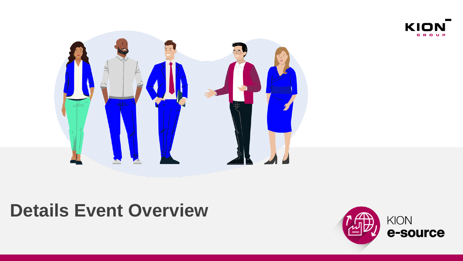



# **Details Event Overview**